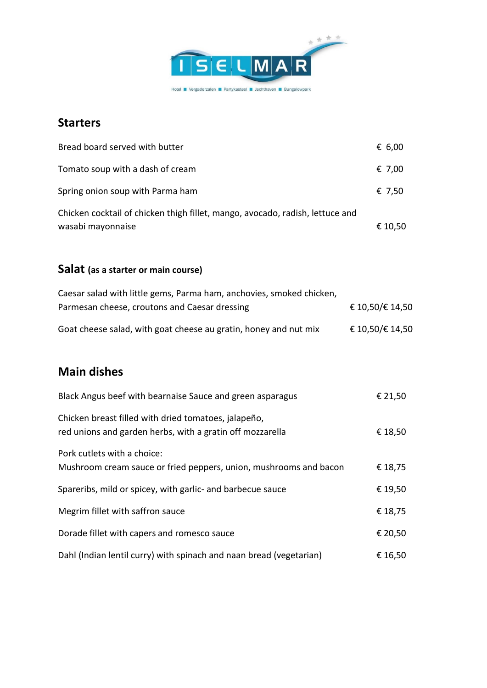

## **Starters**

| Bread board served with butter                                                                     | € 6,00  |
|----------------------------------------------------------------------------------------------------|---------|
| Tomato soup with a dash of cream                                                                   | € 7,00  |
| Spring onion soup with Parma ham                                                                   | € 7,50  |
| Chicken cocktail of chicken thigh fillet, mango, avocado, radish, lettuce and<br>wasabi mayonnaise | € 10,50 |

## **Salat (as a starter or main course)**

| Caesar salad with little gems, Parma ham, anchovies, smoked chicken, |                 |
|----------------------------------------------------------------------|-----------------|
| Parmesan cheese, croutons and Caesar dressing                        | € 10,50/€ 14,50 |
| Goat cheese salad, with goat cheese au gratin, honey and nut mix     | € 10,50/€ 14,50 |

# **Main dishes**

| Black Angus beef with bearnaise Sauce and green asparagus                                                         | € 21,50 |
|-------------------------------------------------------------------------------------------------------------------|---------|
| Chicken breast filled with dried tomatoes, jalapeño,<br>red unions and garden herbs, with a gratin off mozzarella | € 18,50 |
| Pork cutlets with a choice:<br>Mushroom cream sauce or fried peppers, union, mushrooms and bacon                  | € 18,75 |
| Spareribs, mild or spicey, with garlic- and barbecue sauce                                                        | € 19,50 |
| Megrim fillet with saffron sauce                                                                                  | € 18,75 |
| Dorade fillet with capers and romesco sauce                                                                       | € 20,50 |
| Dahl (Indian lentil curry) with spinach and naan bread (vegetarian)                                               | € 16,50 |